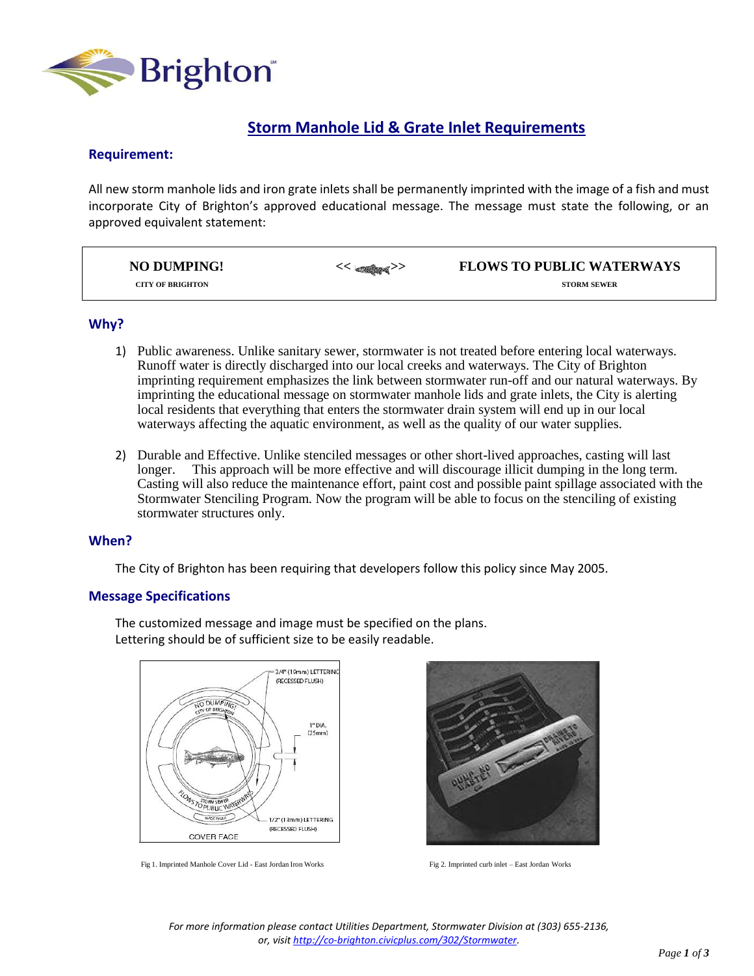

# **Storm Manhole Lid & Grate Inlet Requirements**

## **Requirement:**

All new storm manhole lids and iron grate inlets shall be permanently imprinted with the image of a fish and must incorporate City of Brighton's approved educational message. The message must state the following, or an approved equivalent statement:

| <b>NO DUMPING!</b>      | $<<$ and $<$ | <b>FLOWS TO PUBLIC WATERWAYS</b> |
|-------------------------|--------------|----------------------------------|
| <b>CITY OF BRIGHTON</b> |              | <b>STORM SEWER</b>               |

### **Why?**

- 1) Public awareness. Unlike sanitary sewer, stormwater is not treated before entering local waterways. Runoff water is directly discharged into our local creeks and waterways. The City of Brighton imprinting requirement emphasizes the link between stormwater run-off and our natural waterways. By imprinting the educational message on stormwater manhole lids and grate inlets, the City is alerting local residents that everything that enters the stormwater drain system will end up in our local waterways affecting the aquatic environment, as well as the quality of our water supplies.
- 2) Durable and Effective. Unlike stenciled messages or other short-lived approaches, casting will last This approach will be more effective and will discourage illicit dumping in the long term. Casting will also reduce the maintenance effort, paint cost and possible paint spillage associated with the Stormwater Stenciling Program. Now the program will be able to focus on the stenciling of existing stormwater structures only.

#### **When?**

The City of Brighton has been requiring that developers follow this policy since May 2005.

The customized message and image must be specified on the plans.

Lettering should be of sufficient size to be easily readable.

### **Message Specifications**

3/4" (19mm) LETTERING (RECESSED FLUSH) NO DUMPING  $1"$  DIA  $I25mmI$ WS TO PUBLIC WATER 1/2" (13mm) LETTERING MADE IN USA (RECESSED FLUSH) **COVER FACE** 

Fig 1. Imprinted Manhole Cover Lid - East Jordan Iron Works Fig 2. Imprinted curb inlet – East Jordan Works



*For more information please contact Utilities Department, Stormwater Division at (303) 655-2136, or, visi[t http://co-brighton.civicplus.com/302/Stormwater.](http://co-brighton.civicplus.com/302/Stormwater)*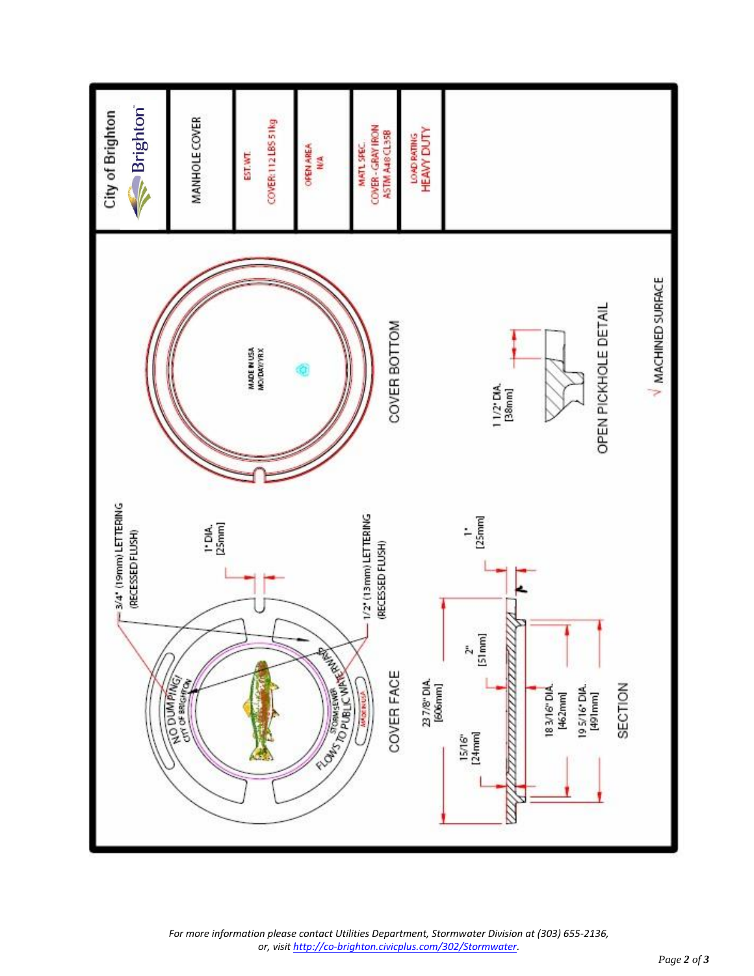

*For more information please contact Utilities Department, Stormwater Division at (303) 655-2136, or, visi[t http://co-brighton.civicplus.com/302/Stormwater.](http://co-brighton.civicplus.com/302/Stormwater)*